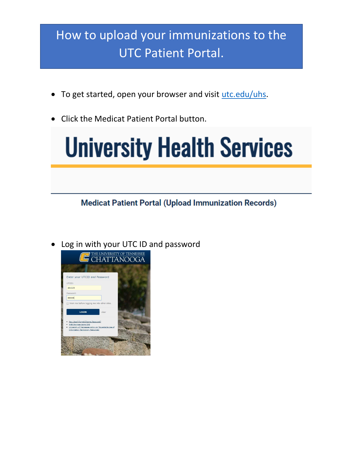- To get started, open your browser and visit [utc.edu/u](https://utc.edu/health)hs.
- Click the Medicat Patient Portal button.

# **University Health Services**

**Medicat Patient Portal (Upload Immunization Records)** 

• Log in with your UTC ID and password

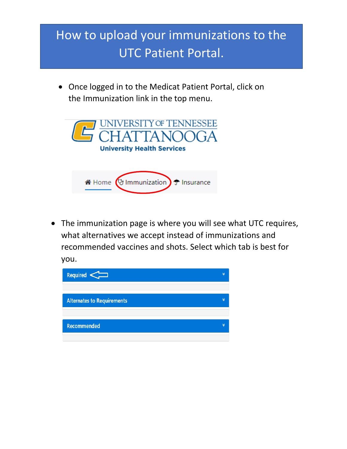• Once logged in to the Medicat Patient Portal, click on the Immunization link in the top menu.



• The immunization page is where you will see what UTC requires, what alternatives we accept instead of immunizations and recommended vaccines and shots. Select which tab is best for you.

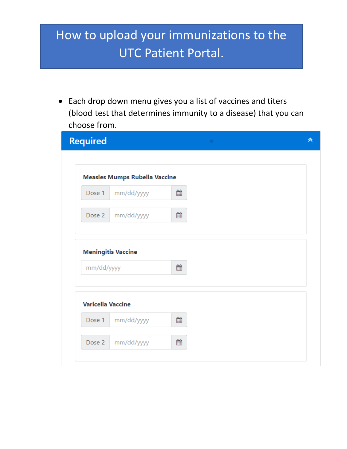• Each drop down menu gives you a list of vaccines and titers (blood test that determines immunity to a disease) that you can choose from.

| <b>Required</b>          |                                      | ٠ |  |
|--------------------------|--------------------------------------|---|--|
|                          |                                      |   |  |
|                          | <b>Measles Mumps Rubella Vaccine</b> |   |  |
| Dose 1                   | mm/dd/yyyy                           | 雦 |  |
| Dose 2                   | mm/dd/yyyy                           | ▦ |  |
|                          | <b>Meningitis Vaccine</b>            |   |  |
| mm/dd/yyyy               |                                      | 雦 |  |
|                          |                                      |   |  |
| <b>Varicella Vaccine</b> |                                      |   |  |
| Dose 1                   | mm/dd/yyyy                           | 雦 |  |
| Dose 2                   | mm/dd/yyyy                           | 雦 |  |
|                          |                                      |   |  |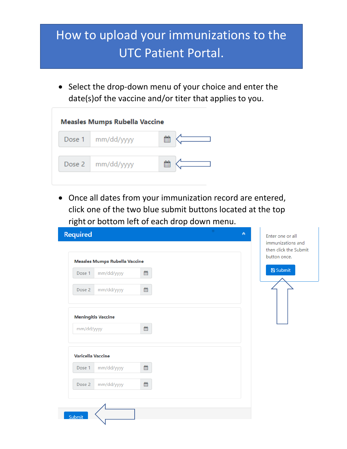• Select the drop-down menu of your choice and enter the date(s)of the vaccine and/or titer that applies to you.

| <b>Measles Mumps Rubella Vaccine</b> |                          |  |  |  |  |
|--------------------------------------|--------------------------|--|--|--|--|
|                                      | Dose $1 \mid mm/dd/yyyy$ |  |  |  |  |
|                                      | Dose 2   mm/dd/yyyy      |  |  |  |  |
|                                      |                          |  |  |  |  |

• Once all dates from your immunization record are entered, click one of the two blue submit buttons located at the top right or bottom left of each drop down menu.

| <b>Required</b>                      |              | $\hat{\mathcal{R}}$ | Enter one or all<br>immunizations and |
|--------------------------------------|--------------|---------------------|---------------------------------------|
|                                      |              |                     | then click the Submit<br>button once. |
| <b>Measles Mumps Rubella Vaccine</b> |              |                     |                                       |
| mm/dd/yyyy<br>Dose 1                 | $\mathbb{H}$ |                     | $B$ Submit                            |
| mm/dd/yyyy<br>Dose 2                 | ₩            |                     |                                       |
|                                      |              |                     |                                       |
| <b>Meningitis Vaccine</b>            |              |                     |                                       |
| mm/dd/yyyy                           | ▦            |                     |                                       |
| <b>Varicella Vaccine</b>             |              |                     |                                       |
| mm/dd/yyyy<br>Dose 1                 | ₩            |                     |                                       |
|                                      |              |                     |                                       |
| mm/dd/yyyy<br>Dose 2                 | ₩            |                     |                                       |
|                                      |              |                     |                                       |
|                                      |              |                     |                                       |
| Submit                               |              |                     |                                       |
|                                      |              |                     |                                       |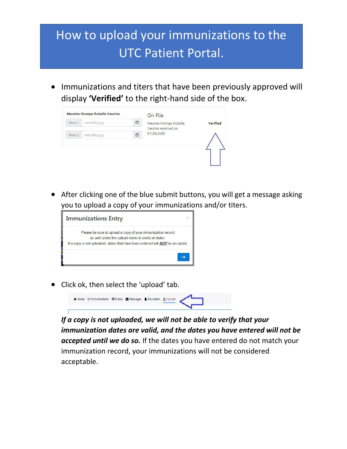• Immunizations and titers that have been previously approved will display **'Verified'** to the right-hand side of the box.



• After clicking one of the blue submit buttons, you will get a message asking you to upload a copy of your immunizations and/or titers.



• Click ok, then select the 'upload' tab.



*If a copy is not uploaded, we will not be able to verify that your immunization dates are valid, and the dates you have entered will not be accepted until we do so.* If the dates you have entered do not match your immunization record, your immunizations will not be considered acceptable.